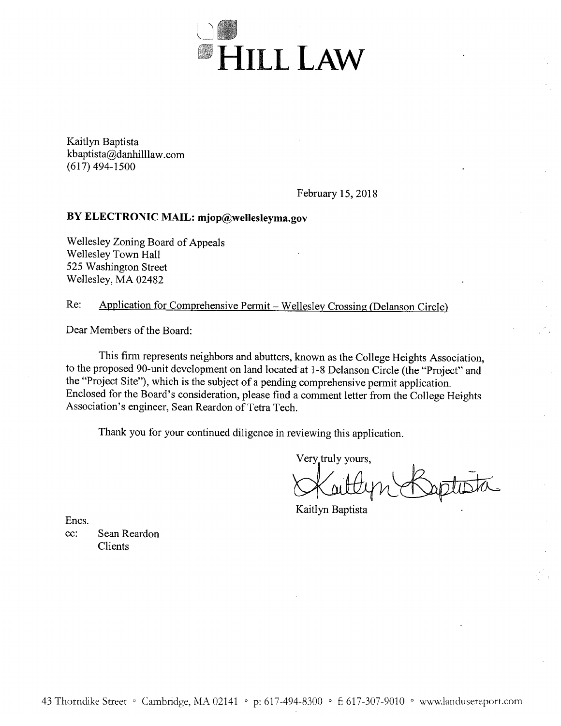

Kaitlyn Baptista kbaptista@danhilllaw.com  $(617)$  494-1500

February 15, 2018

# BY ELECTRONIC MAIL: mjop@wellesleyma.gov

Wellesley Zoning Board of Appeals Wellesley Town Hall 525 Washington Street Wellesley, MA 02482

#### Application for Comprehensive Permit - Wellesley Crossing (Delanson Circle) Re:

Dear Members of the Board:

This firm represents neighbors and abutters, known as the College Heights Association, to the proposed 90-unit development on land located at 1-8 Delanson Circle (the "Project" and the "Project Site"), which is the subject of a pending comprehensive permit application. Enclosed for the Board's consideration, please find a comment letter from the College Heights Association's engineer, Sean Reardon of Tetra Tech.

Thank you for your continued diligence in reviewing this application.

Very truly yours.

Kaitlyn Baptista

Encs.

Sean Reardon cc: **Clients**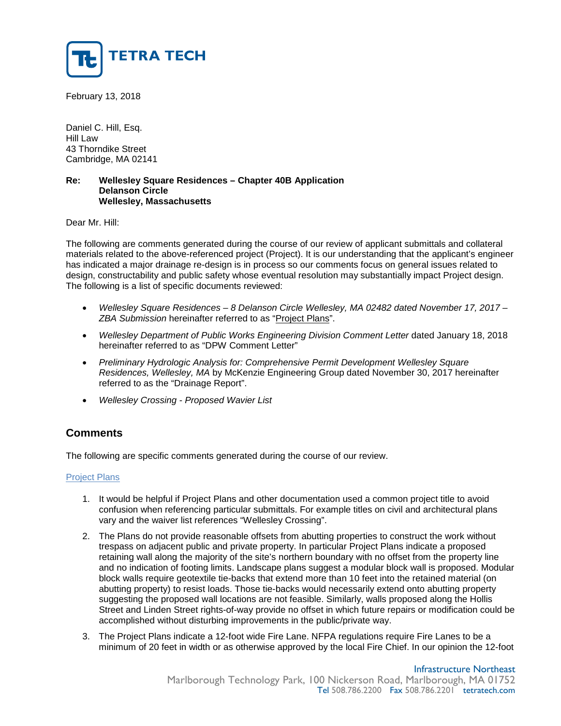

February 13, 2018

Daniel C. Hill, Esq. Hill Law 43 Thorndike Street Cambridge, MA 02141

#### **Re: Wellesley Square Residences – Chapter 40B Application Delanson Circle Wellesley, Massachusetts**

Dear Mr. Hill:

The following are comments generated during the course of our review of applicant submittals and collateral materials related to the above-referenced project (Project). It is our understanding that the applicant's engineer has indicated a major drainage re-design is in process so our comments focus on general issues related to design, constructability and public safety whose eventual resolution may substantially impact Project design. The following is a list of specific documents reviewed:

- *Wellesley Square Residences – 8 Delanson Circle Wellesley, MA 02482 dated November 17, 2017 – ZBA Submission* hereinafter referred to as "Project Plans".
- Wellesley Department of Public Works Engineering Division Comment Letter dated January 18, 2018 hereinafter referred to as "DPW Comment Letter"
- *Preliminary Hydrologic Analysis for: Comprehensive Permit Development Wellesley Square Residences, Wellesley, MA* by McKenzie Engineering Group dated November 30, 2017 hereinafter referred to as the "Drainage Report".
- *Wellesley Crossing - Proposed Wavier List*

# **Comments**

The following are specific comments generated during the course of our review.

### Project Plans

- 1. It would be helpful if Project Plans and other documentation used a common project title to avoid confusion when referencing particular submittals. For example titles on civil and architectural plans vary and the waiver list references "Wellesley Crossing".
- 2. The Plans do not provide reasonable offsets from abutting properties to construct the work without trespass on adjacent public and private property. In particular Project Plans indicate a proposed retaining wall along the majority of the site's northern boundary with no offset from the property line and no indication of footing limits. Landscape plans suggest a modular block wall is proposed. Modular block walls require geotextile tie-backs that extend more than 10 feet into the retained material (on abutting property) to resist loads. Those tie-backs would necessarily extend onto abutting property suggesting the proposed wall locations are not feasible. Similarly, walls proposed along the Hollis Street and Linden Street rights-of-way provide no offset in which future repairs or modification could be accomplished without disturbing improvements in the public/private way.
- 3. The Project Plans indicate a 12-foot wide Fire Lane. NFPA regulations require Fire Lanes to be a minimum of 20 feet in width or as otherwise approved by the local Fire Chief. In our opinion the 12-foot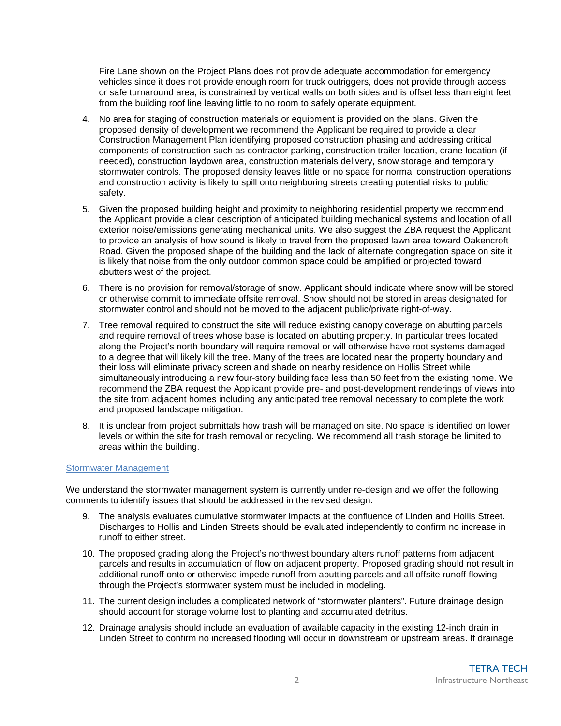Fire Lane shown on the Project Plans does not provide adequate accommodation for emergency vehicles since it does not provide enough room for truck outriggers, does not provide through access or safe turnaround area, is constrained by vertical walls on both sides and is offset less than eight feet from the building roof line leaving little to no room to safely operate equipment.

- 4. No area for staging of construction materials or equipment is provided on the plans. Given the proposed density of development we recommend the Applicant be required to provide a clear Construction Management Plan identifying proposed construction phasing and addressing critical components of construction such as contractor parking, construction trailer location, crane location (if needed), construction laydown area, construction materials delivery, snow storage and temporary stormwater controls. The proposed density leaves little or no space for normal construction operations and construction activity is likely to spill onto neighboring streets creating potential risks to public safety.
- 5. Given the proposed building height and proximity to neighboring residential property we recommend the Applicant provide a clear description of anticipated building mechanical systems and location of all exterior noise/emissions generating mechanical units. We also suggest the ZBA request the Applicant to provide an analysis of how sound is likely to travel from the proposed lawn area toward Oakencroft Road. Given the proposed shape of the building and the lack of alternate congregation space on site it is likely that noise from the only outdoor common space could be amplified or projected toward abutters west of the project.
- 6. There is no provision for removal/storage of snow. Applicant should indicate where snow will be stored or otherwise commit to immediate offsite removal. Snow should not be stored in areas designated for stormwater control and should not be moved to the adjacent public/private right-of-way.
- 7. Tree removal required to construct the site will reduce existing canopy coverage on abutting parcels and require removal of trees whose base is located on abutting property. In particular trees located along the Project's north boundary will require removal or will otherwise have root systems damaged to a degree that will likely kill the tree. Many of the trees are located near the property boundary and their loss will eliminate privacy screen and shade on nearby residence on Hollis Street while simultaneously introducing a new four-story building face less than 50 feet from the existing home. We recommend the ZBA request the Applicant provide pre- and post-development renderings of views into the site from adjacent homes including any anticipated tree removal necessary to complete the work and proposed landscape mitigation.
- 8. It is unclear from project submittals how trash will be managed on site. No space is identified on lower levels or within the site for trash removal or recycling. We recommend all trash storage be limited to areas within the building.

## Stormwater Management

We understand the stormwater management system is currently under re-design and we offer the following comments to identify issues that should be addressed in the revised design.

- 9. The analysis evaluates cumulative stormwater impacts at the confluence of Linden and Hollis Street. Discharges to Hollis and Linden Streets should be evaluated independently to confirm no increase in runoff to either street.
- 10. The proposed grading along the Project's northwest boundary alters runoff patterns from adjacent parcels and results in accumulation of flow on adjacent property. Proposed grading should not result in additional runoff onto or otherwise impede runoff from abutting parcels and all offsite runoff flowing through the Project's stormwater system must be included in modeling.
- 11. The current design includes a complicated network of "stormwater planters". Future drainage design should account for storage volume lost to planting and accumulated detritus.
- 12. Drainage analysis should include an evaluation of available capacity in the existing 12-inch drain in Linden Street to confirm no increased flooding will occur in downstream or upstream areas. If drainage